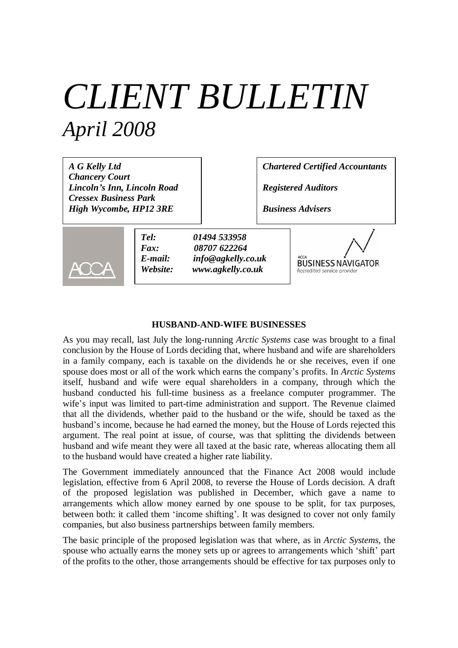# *CLIENT BULLETIN April 2008*

*A G Kelly Ltd Chancery Court Lincoln's Inn, Lincoln Road Cressex Business Park High Wycombe, HP12 3RE*

*Chartered Certified Accountants*

*Registered Auditors*

*Business Advisers*



*Tel: 01494 533958 Fax: 08707 622264 E-mail: info@agkelly.co.uk Website: www.agkelly.co.uk*



### **HUSBAND-AND-WIFE BUSINESSES**

As you may recall, last July the long-running *Arctic Systems* case was brought to a final conclusion by the House of Lords deciding that, where husband and wife are shareholders in a family company, each is taxable on the dividends he or she receives, even if one spouse does most or all of the work which earns the company's profits. In *Arctic Systems* itself, husband and wife were equal shareholders in a company, through which the husband conducted his full-time business as a freelance computer programmer. The wife's input was limited to part-time administration and support. The Revenue claimed that all the dividends, whether paid to the husband or the wife, should be taxed as the husband's income, because he had earned the money, but the House of Lords rejected this argument. The real point at issue, of course, was that splitting the dividends between husband and wife meant they were all taxed at the basic rate, whereas allocating them all to the husband would have created a higher rate liability.

The Government immediately announced that the Finance Act 2008 would include legislation, effective from 6 April 2008, to reverse the House of Lords decision. A draft of the proposed legislation was published in December, which gave a name to arrangements which allow money earned by one spouse to be split, for tax purposes, between both: it called them 'income shifting'. It was designed to cover not only family companies, but also business partnerships between family members.

The basic principle of the proposed legislation was that where, as in *Arctic Systems*, the spouse who actually earns the money sets up or agrees to arrangements which 'shift' part of the profits to the other, those arrangements should be effective for tax purposes only to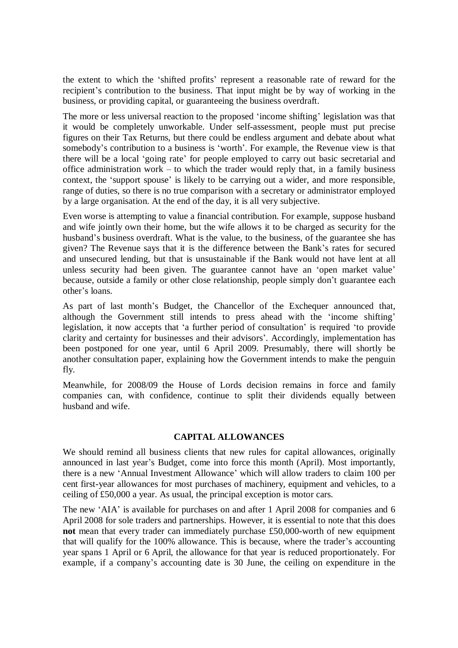the extent to which the 'shifted profits' represent a reasonable rate of reward for the recipient's contribution to the business. That input might be by way of working in the business, or providing capital, or guaranteeing the business overdraft.

The more or less universal reaction to the proposed 'income shifting' legislation was that it would be completely unworkable. Under self-assessment, people must put precise figures on their Tax Returns, but there could be endless argument and debate about what somebody's contribution to a business is 'worth'. For example, the Revenue view is that there will be a local 'going rate' for people employed to carry out basic secretarial and office administration work – to which the trader would reply that, in a family business context, the 'support spouse' is likely to be carrying out a wider, and more responsible, range of duties, so there is no true comparison with a secretary or administrator employed by a large organisation. At the end of the day, it is all very subjective.

Even worse is attempting to value a financial contribution. For example, suppose husband and wife jointly own their home, but the wife allows it to be charged as security for the husband's business overdraft. What is the value, to the business, of the guarantee she has given? The Revenue says that it is the difference between the Bank's rates for secured and unsecured lending, but that is unsustainable if the Bank would not have lent at all unless security had been given. The guarantee cannot have an 'open market value' because, outside a family or other close relationship, people simply don't guarantee each other's loans.

As part of last month's Budget, the Chancellor of the Exchequer announced that, although the Government still intends to press ahead with the 'income shifting' legislation, it now accepts that 'a further period of consultation' is required 'to provide clarity and certainty for businesses and their advisors'. Accordingly, implementation has been postponed for one year, until 6 April 2009. Presumably, there will shortly be another consultation paper, explaining how the Government intends to make the penguin fly.

Meanwhile, for 2008/09 the House of Lords decision remains in force and family companies can, with confidence, continue to split their dividends equally between husband and wife.

#### **CAPITAL ALLOWANCES**

We should remind all business clients that new rules for capital allowances, originally announced in last year's Budget, come into force this month (April). Most importantly, there is a new 'Annual Investment Allowance' which will allow traders to claim 100 per cent first-year allowances for most purchases of machinery, equipment and vehicles, to a ceiling of £50,000 a year. As usual, the principal exception is motor cars.

The new 'AIA' is available for purchases on and after 1 April 2008 for companies and 6 April 2008 for sole traders and partnerships. However, it is essential to note that this does **not** mean that every trader can immediately purchase £50,000-worth of new equipment that will qualify for the 100% allowance. This is because, where the trader's accounting year spans 1 April or 6 April, the allowance for that year is reduced proportionately. For example, if a company's accounting date is 30 June, the ceiling on expenditure in the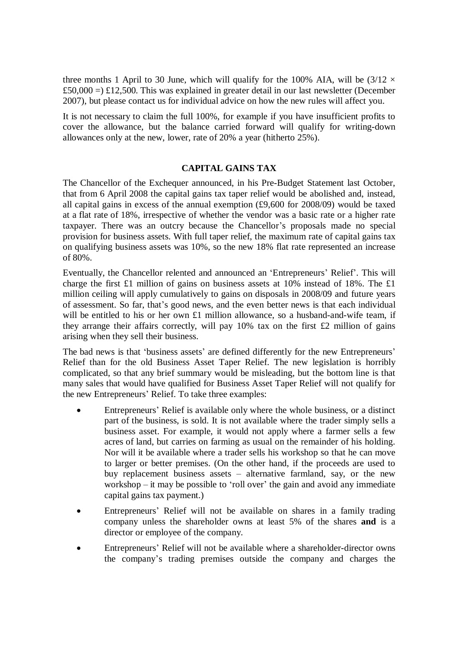three months 1 April to 30 June, which will qualify for the 100% AIA, will be  $(3/12 \times$ £50,000 =) £12,500. This was explained in greater detail in our last newsletter (December 2007), but please contact us for individual advice on how the new rules will affect you.

It is not necessary to claim the full 100%, for example if you have insufficient profits to cover the allowance, but the balance carried forward will qualify for writing-down allowances only at the new, lower, rate of 20% a year (hitherto 25%).

## **CAPITAL GAINS TAX**

The Chancellor of the Exchequer announced, in his Pre-Budget Statement last October, that from 6 April 2008 the capital gains tax taper relief would be abolished and, instead, all capital gains in excess of the annual exemption (£9,600 for 2008/09) would be taxed at a flat rate of 18%, irrespective of whether the vendor was a basic rate or a higher rate taxpayer. There was an outcry because the Chancellor's proposals made no special provision for business assets. With full taper relief, the maximum rate of capital gains tax on qualifying business assets was 10%, so the new 18% flat rate represented an increase of 80%.

Eventually, the Chancellor relented and announced an 'Entrepreneurs' Relief'. This will charge the first £1 million of gains on business assets at 10% instead of 18%. The £1 million ceiling will apply cumulatively to gains on disposals in 2008/09 and future years of assessment. So far, that's good news, and the even better news is that each individual will be entitled to his or her own £1 million allowance, so a husband-and-wife team, if they arrange their affairs correctly, will pay  $10\%$  tax on the first £2 million of gains arising when they sell their business.

The bad news is that 'business assets' are defined differently for the new Entrepreneurs' Relief than for the old Business Asset Taper Relief. The new legislation is horribly complicated, so that any brief summary would be misleading, but the bottom line is that many sales that would have qualified for Business Asset Taper Relief will not qualify for the new Entrepreneurs' Relief. To take three examples:

- Entrepreneurs' Relief is available only where the whole business, or a distinct part of the business, is sold. It is not available where the trader simply sells a business asset. For example, it would not apply where a farmer sells a few acres of land, but carries on farming as usual on the remainder of his holding. Nor will it be available where a trader sells his workshop so that he can move to larger or better premises. (On the other hand, if the proceeds are used to buy replacement business assets – alternative farmland, say, or the new workshop – it may be possible to 'roll over' the gain and avoid any immediate capital gains tax payment.)
- Entrepreneurs' Relief will not be available on shares in a family trading company unless the shareholder owns at least 5% of the shares **and** is a director or employee of the company.
- Entrepreneurs' Relief will not be available where a shareholder-director owns the company's trading premises outside the company and charges the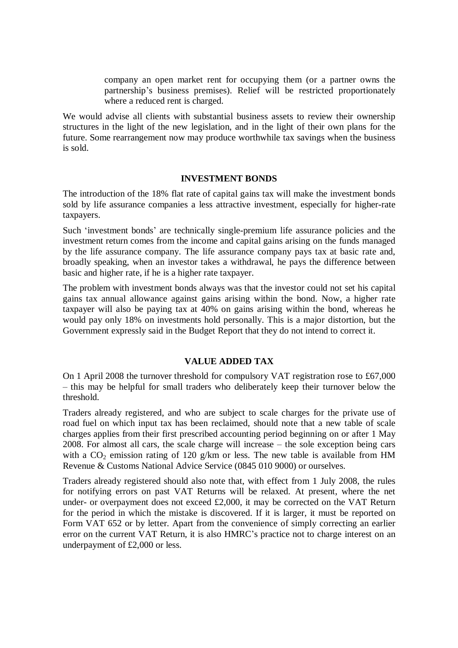company an open market rent for occupying them (or a partner owns the partnership's business premises). Relief will be restricted proportionately where a reduced rent is charged.

We would advise all clients with substantial business assets to review their ownership structures in the light of the new legislation, and in the light of their own plans for the future. Some rearrangement now may produce worthwhile tax savings when the business is sold.

#### **INVESTMENT BONDS**

The introduction of the 18% flat rate of capital gains tax will make the investment bonds sold by life assurance companies a less attractive investment, especially for higher-rate taxpayers.

Such 'investment bonds' are technically single-premium life assurance policies and the investment return comes from the income and capital gains arising on the funds managed by the life assurance company. The life assurance company pays tax at basic rate and, broadly speaking, when an investor takes a withdrawal, he pays the difference between basic and higher rate, if he is a higher rate taxpayer.

The problem with investment bonds always was that the investor could not set his capital gains tax annual allowance against gains arising within the bond. Now, a higher rate taxpayer will also be paying tax at 40% on gains arising within the bond, whereas he would pay only 18% on investments hold personally. This is a major distortion, but the Government expressly said in the Budget Report that they do not intend to correct it.

## **VALUE ADDED TAX**

On 1 April 2008 the turnover threshold for compulsory VAT registration rose to £67,000 – this may be helpful for small traders who deliberately keep their turnover below the threshold.

Traders already registered, and who are subject to scale charges for the private use of road fuel on which input tax has been reclaimed, should note that a new table of scale charges applies from their first prescribed accounting period beginning on or after 1 May 2008. For almost all cars, the scale charge will increase – the sole exception being cars with a  $CO_2$  emission rating of 120 g/km or less. The new table is available from HM Revenue & Customs National Advice Service (0845 010 9000) or ourselves.

Traders already registered should also note that, with effect from 1 July 2008, the rules for notifying errors on past VAT Returns will be relaxed. At present, where the net under- or overpayment does not exceed £2,000, it may be corrected on the VAT Return for the period in which the mistake is discovered. If it is larger, it must be reported on Form VAT 652 or by letter. Apart from the convenience of simply correcting an earlier error on the current VAT Return, it is also HMRC's practice not to charge interest on an underpayment of £2,000 or less.